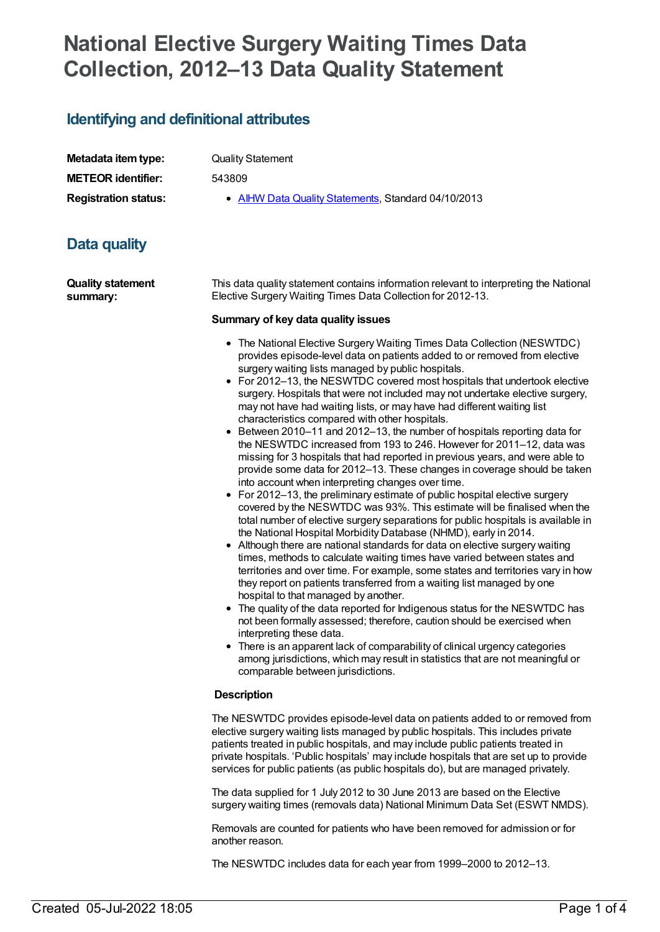# **National Elective Surgery Waiting Times Data Collection, 2012–13 Data Quality Statement**

## **Identifying and definitional attributes**

| Metadata item type:         |
|-----------------------------|
| <b>METEOR identifier:</b>   |
| <b>Registration status:</b> |

**Quality Statement** 

**METEOR identifier:** 543809

**AIHW Data Quality [Statements](https://meteor.aihw.gov.au/RegistrationAuthority/5), Standard 04/10/2013** 

# **Data quality**

**Quality statement summary:**

This data quality statement contains information relevant to interpreting the National Elective Surgery Waiting Times Data Collection for 2012-13.

#### **Summary of key data quality issues**

- The National Elective Surgery Waiting Times Data Collection (NESWTDC) provides episode-level data on patients added to or removed from elective surgery waiting lists managed by public hospitals.
- For 2012–13, the NESWTDC covered most hospitals that undertook elective surgery. Hospitals that were not included may not undertake elective surgery, may not have had waiting lists, or may have had different waiting list characteristics compared with other hospitals.
- Between 2010–11 and 2012–13, the number of hospitals reporting data for the NESWTDC increased from 193 to 246. However for 2011–12, data was missing for 3 hospitals that had reported in previous years, and were able to provide some data for 2012–13. These changes in coverage should be taken into account when interpreting changes over time.
- For 2012–13, the preliminary estimate of public hospital elective surgery covered by the NESWTDC was 93%. This estimate will be finalised when the total number of elective surgery separations for public hospitals is available in the National Hospital Morbidity Database (NHMD), early in 2014.
- Although there are national standards for data on elective surgery waiting times, methods to calculate waiting times have varied between states and territories and over time. For example, some states and territories vary in how they report on patients transferred from a waiting list managed by one hospital to that managed by another.
- The quality of the data reported for Indigenous status for the NESWTDC has not been formally assessed; therefore, caution should be exercised when interpreting these data.
- There is an apparent lack of comparability of clinical urgency categories among jurisdictions, which may result in statistics that are not meaningful or comparable between jurisdictions.

#### **Description**

The NESWTDC provides episode-level data on patients added to or removed from elective surgery waiting lists managed by public hospitals. This includes private patients treated in public hospitals, and may include public patients treated in private hospitals. 'Public hospitals' may include hospitals that are set up to provide services for public patients (as public hospitals do), but are managed privately.

The data supplied for 1 July 2012 to 30 June 2013 are based on the Elective surgery waiting times (removals data) National Minimum Data Set (ESWT NMDS).

Removals are counted for patients who have been removed for admission or for another reason.

The NESWTDC includes data for each year from 1999–2000 to 2012–13.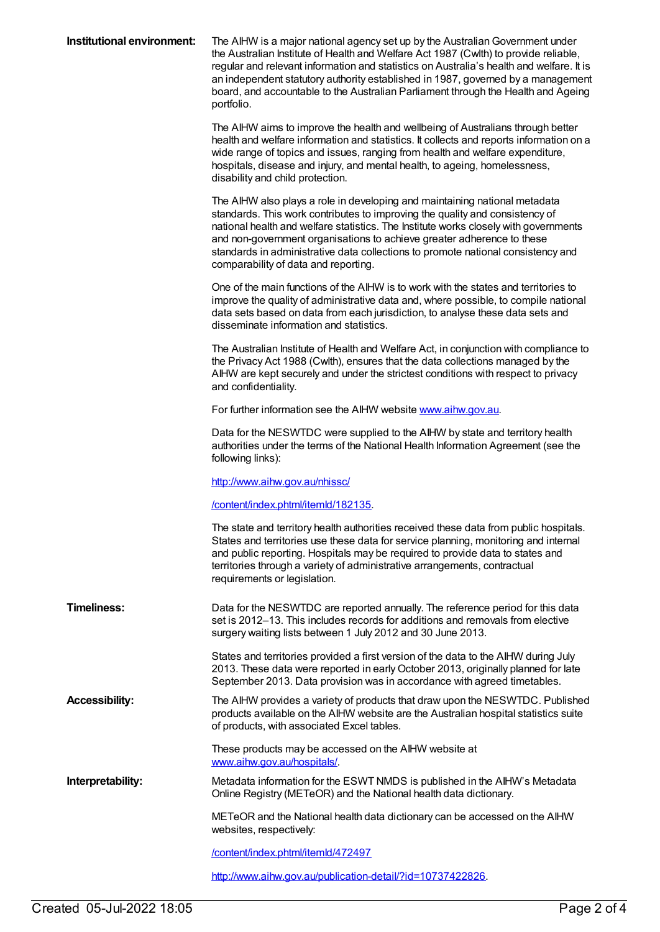| Institutional environment: | The AIHW is a major national agency set up by the Australian Government under<br>the Australian Institute of Health and Welfare Act 1987 (Cwlth) to provide reliable,<br>regular and relevant information and statistics on Australia's health and welfare. It is<br>an independent statutory authority established in 1987, governed by a management<br>board, and accountable to the Australian Parliament through the Health and Ageing<br>portfolio. |
|----------------------------|----------------------------------------------------------------------------------------------------------------------------------------------------------------------------------------------------------------------------------------------------------------------------------------------------------------------------------------------------------------------------------------------------------------------------------------------------------|
|                            | The AIHW aims to improve the health and wellbeing of Australians through better<br>health and welfare information and statistics. It collects and reports information on a<br>wide range of topics and issues, ranging from health and welfare expenditure,<br>hospitals, disease and injury, and mental health, to ageing, homelessness,<br>disability and child protection.                                                                            |
|                            | The AIHW also plays a role in developing and maintaining national metadata<br>standards. This work contributes to improving the quality and consistency of<br>national health and welfare statistics. The Institute works closely with governments<br>and non-government organisations to achieve greater adherence to these<br>standards in administrative data collections to promote national consistency and<br>comparability of data and reporting. |
|                            | One of the main functions of the AIHW is to work with the states and territories to<br>improve the quality of administrative data and, where possible, to compile national<br>data sets based on data from each jurisdiction, to analyse these data sets and<br>disseminate information and statistics.                                                                                                                                                  |
|                            | The Australian Institute of Health and Welfare Act, in conjunction with compliance to<br>the Privacy Act 1988 (Cwlth), ensures that the data collections managed by the<br>AIHW are kept securely and under the strictest conditions with respect to privacy<br>and confidentiality.                                                                                                                                                                     |
|                            | For further information see the AIHW website www.aihw.gov.au.                                                                                                                                                                                                                                                                                                                                                                                            |
|                            | Data for the NESWTDC were supplied to the AIHW by state and territory health<br>authorities under the terms of the National Health Information Agreement (see the<br>following links):                                                                                                                                                                                                                                                                   |
|                            | http://www.aihw.gov.au/nhissc/                                                                                                                                                                                                                                                                                                                                                                                                                           |
|                            | /content/index.phtml/itemld/182135.                                                                                                                                                                                                                                                                                                                                                                                                                      |
|                            | The state and territory health authorities received these data from public hospitals.<br>States and territories use these data for service planning, monitoring and internal<br>and public reporting. Hospitals may be required to provide data to states and<br>territories through a variety of administrative arrangements, contractual<br>requirements or legislation.                                                                               |
| <b>Timeliness:</b>         | Data for the NESWTDC are reported annually. The reference period for this data<br>set is 2012-13. This includes records for additions and removals from elective<br>surgery waiting lists between 1 July 2012 and 30 June 2013.                                                                                                                                                                                                                          |
|                            | States and territories provided a first version of the data to the AIHW during July<br>2013. These data were reported in early October 2013, originally planned for late<br>September 2013. Data provision was in accordance with agreed timetables.                                                                                                                                                                                                     |
| <b>Accessibility:</b>      | The AIHW provides a variety of products that draw upon the NESWTDC. Published<br>products available on the AIHW website are the Australian hospital statistics suite<br>of products, with associated Excel tables.                                                                                                                                                                                                                                       |
|                            | These products may be accessed on the AIHW website at<br>www.aihw.gov.au/hospitals/.                                                                                                                                                                                                                                                                                                                                                                     |
| Interpretability:          | Metadata information for the ESWT NMDS is published in the AIHW's Metadata<br>Online Registry (METeOR) and the National health data dictionary.                                                                                                                                                                                                                                                                                                          |
|                            | METeOR and the National health data dictionary can be accessed on the AIHW<br>websites, respectively:                                                                                                                                                                                                                                                                                                                                                    |
|                            | /content/index.phtml/itemld/472497                                                                                                                                                                                                                                                                                                                                                                                                                       |
|                            | http://www.aihw.gov.au/publication-detail/?id=10737422826.                                                                                                                                                                                                                                                                                                                                                                                               |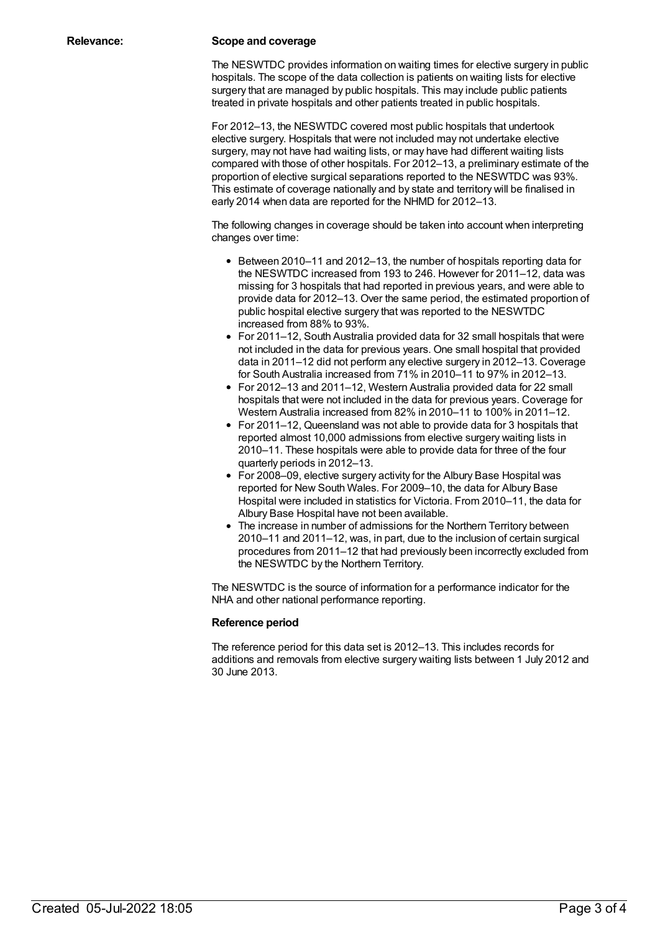#### **Relevance: Scope and coverage**

The NESWTDC provides information on waiting times for elective surgery in public hospitals. The scope of the data collection is patients on waiting lists for elective surgery that are managed by public hospitals. This may include public patients treated in private hospitals and other patients treated in public hospitals.

For 2012–13, the NESWTDC covered most public hospitals that undertook elective surgery. Hospitals that were not included may not undertake elective surgery, may not have had waiting lists, or may have had different waiting lists compared with those of other hospitals. For 2012–13, a preliminary estimate of the proportion of elective surgical separations reported to the NESWTDC was 93%. This estimate of coverage nationally and by state and territory will be finalised in early 2014 when data are reported for the NHMD for 2012–13.

The following changes in coverage should be taken into account when interpreting changes over time:

- Between 2010–11 and 2012–13, the number of hospitals reporting data for the NESWTDC increased from 193 to 246. However for 2011–12, data was missing for 3 hospitals that had reported in previous years, and were able to provide data for 2012–13. Over the same period, the estimated proportion of public hospital elective surgery that was reported to the NESWTDC increased from 88% to 93%.
- For 2011–12, South Australia provided data for 32 small hospitals that were not included in the data for previous years. One small hospital that provided data in 2011–12 did not perform any elective surgery in 2012–13. Coverage for South Australia increased from 71% in 2010–11 to 97% in 2012–13.
- For 2012–13 and 2011–12, Western Australia provided data for 22 small hospitals that were not included in the data for previous years. Coverage for Western Australia increased from 82% in 2010–11 to 100% in 2011–12.
- For 2011–12, Queensland was not able to provide data for 3 hospitals that reported almost 10,000 admissions from elective surgery waiting lists in 2010–11. These hospitals were able to provide data for three of the four quarterly periods in 2012–13.
- For 2008–09, elective surgery activity for the Albury Base Hospital was reported for New South Wales. For 2009–10, the data for Albury Base Hospital were included in statistics for Victoria. From 2010–11, the data for Albury Base Hospital have not been available.
- The increase in number of admissions for the Northern Territory between 2010–11 and 2011–12, was, in part, due to the inclusion of certain surgical procedures from 2011–12 that had previously been incorrectly excluded from the NESWTDC by the Northern Territory.

The NESWTDC is the source of information for a performance indicator for the NHA and other national performance reporting.

#### **Reference period**

The reference period for this data set is 2012–13. This includes records for additions and removals from elective surgery waiting lists between 1 July 2012 and 30 June 2013.